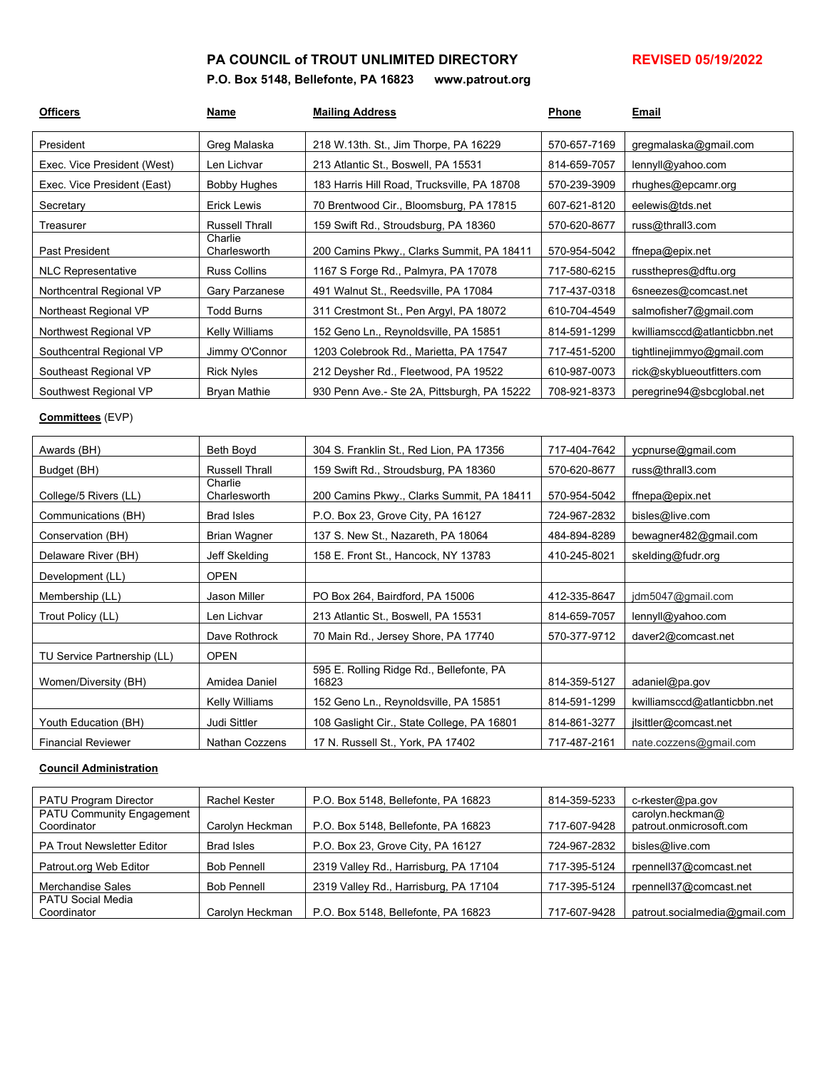## PA COUNCIL of TROUT UNLIMITED DIRECTORY **REVISED 05/19/2022**

## **P.O. Box 5148, Bellefonte, PA 16823 www.patrout.org**

| <b>Officers</b>             | Name                    | <b>Mailing Address</b>                      | Phone        | Email                        |
|-----------------------------|-------------------------|---------------------------------------------|--------------|------------------------------|
| President                   | Greg Malaska            | 218 W.13th. St., Jim Thorpe, PA 16229       | 570-657-7169 | gregmalaska@gmail.com        |
| Exec. Vice President (West) | Len Lichvar             | 213 Atlantic St., Boswell, PA 15531         | 814-659-7057 | lennyll@yahoo.com            |
| Exec. Vice President (East) | Bobby Hughes            | 183 Harris Hill Road, Trucksville, PA 18708 | 570-239-3909 | rhughes@epcamr.org           |
| Secretary                   | Erick Lewis             | 70 Brentwood Cir., Bloomsburg, PA 17815     | 607-621-8120 | eelewis@tds.net              |
| Treasurer                   | Russell Thrall          | 159 Swift Rd., Stroudsburg, PA 18360        | 570-620-8677 | russ@thrall3.com             |
| Past President              | Charlie<br>Charlesworth | 200 Camins Pkwy., Clarks Summit, PA 18411   | 570-954-5042 | ffnepa@epix.net              |
| <b>NLC Representative</b>   | <b>Russ Collins</b>     | 1167 S Forge Rd., Palmyra, PA 17078         | 717-580-6215 | russthepres@dftu.org         |
| Northcentral Regional VP    | <b>Gary Parzanese</b>   | 491 Walnut St., Reedsville, PA 17084        | 717-437-0318 | 6sneezes@comcast.net         |
| Northeast Regional VP       | <b>Todd Burns</b>       | 311 Crestmont St., Pen Argyl, PA 18072      | 610-704-4549 | salmofisher7@gmail.com       |
| Northwest Regional VP       | Kelly Williams          | 152 Geno Ln., Reynoldsville, PA 15851       | 814-591-1299 | kwilliamsccd@atlanticbbn.net |
| Southcentral Regional VP    | Jimmy O'Connor          | 1203 Colebrook Rd., Marietta, PA 17547      | 717-451-5200 | tightlinejimmyo@gmail.com    |
| Southeast Regional VP       | <b>Rick Nyles</b>       | 212 Deysher Rd., Fleetwood, PA 19522        | 610-987-0073 | rick@skyblueoutfitters.com   |
| Southwest Regional VP       | <b>Bryan Mathie</b>     | 930 Penn Ave.- Ste 2A, Pittsburgh, PA 15222 | 708-921-8373 | peregrine94@sbcglobal.net    |

### **Committees** (EVP)

| Awards (BH)                 | Beth Boyd               | 304 S. Franklin St., Red Lion, PA 17356           | 717-404-7642 | ycpnurse@gmail.com           |
|-----------------------------|-------------------------|---------------------------------------------------|--------------|------------------------------|
| Budget (BH)                 | <b>Russell Thrall</b>   | 159 Swift Rd., Stroudsburg, PA 18360              | 570-620-8677 | russ@thrall3.com             |
| College/5 Rivers (LL)       | Charlie<br>Charlesworth | 200 Camins Pkwy., Clarks Summit, PA 18411         | 570-954-5042 | ffnepa@epix.net              |
| Communications (BH)         | <b>Brad Isles</b>       | P.O. Box 23, Grove City, PA 16127                 | 724-967-2832 | bisles@live.com              |
| Conservation (BH)           | Brian Wagner            | 137 S. New St., Nazareth, PA 18064                | 484-894-8289 | bewagner482@gmail.com        |
| Delaware River (BH)         | Jeff Skelding           | 158 E. Front St., Hancock, NY 13783               | 410-245-8021 | skelding@fudr.org            |
| Development (LL)            | <b>OPEN</b>             |                                                   |              |                              |
| Membership (LL)             | Jason Miller            | PO Box 264, Bairdford, PA 15006                   | 412-335-8647 | jdm5047@gmail.com            |
| Trout Policy (LL)           | Len Lichvar             | 213 Atlantic St., Boswell, PA 15531               | 814-659-7057 | lennyll@yahoo.com            |
|                             | Dave Rothrock           | 70 Main Rd., Jersey Shore, PA 17740               | 570-377-9712 | daver2@comcast.net           |
| TU Service Partnership (LL) | <b>OPEN</b>             |                                                   |              |                              |
| Women/Diversity (BH)        | Amidea Daniel           | 595 E. Rolling Ridge Rd., Bellefonte, PA<br>16823 | 814-359-5127 | adaniel@pa.gov               |
|                             | Kelly Williams          | 152 Geno Ln., Reynoldsville, PA 15851             | 814-591-1299 | kwilliamsccd@atlanticbbn.net |
| Youth Education (BH)        | Judi Sittler            | 108 Gaslight Cir., State College, PA 16801        | 814-861-3277 | jlsittler@comcast.net        |
| <b>Financial Reviewer</b>   | Nathan Cozzens          | 17 N. Russell St., York, PA 17402                 | 717-487-2161 | nate.cozzens@gmail.com       |

#### **Council Administration**

| <b>PATU Program Director</b>      | Rachel Kester      | P.O. Box 5148, Bellefonte, PA 16823   | 814-359-5233 | c-rkester@pa.gov              |
|-----------------------------------|--------------------|---------------------------------------|--------------|-------------------------------|
| <b>PATU Community Engagement</b>  |                    |                                       |              | carolyn.heckman@              |
| Coordinator                       | Carolyn Heckman    | P.O. Box 5148, Bellefonte, PA 16823   | 717-607-9428 | patrout.onmicrosoft.com       |
| <b>PA Trout Newsletter Editor</b> | <b>Brad Isles</b>  | P.O. Box 23, Grove City, PA 16127     | 724-967-2832 | bisles@live.com               |
| Patrout.org Web Editor            | <b>Bob Pennell</b> | 2319 Valley Rd., Harrisburg, PA 17104 | 717-395-5124 | rpennell37@comcast.net        |
| Merchandise Sales                 | <b>Bob Pennell</b> | 2319 Valley Rd., Harrisburg, PA 17104 | 717-395-5124 | rpennell37@comcast.net        |
| <b>PATU Social Media</b>          |                    |                                       |              |                               |
| Coordinator                       | Carolyn Heckman    | P.O. Box 5148, Bellefonte, PA 16823   | 717-607-9428 | patrout.socialmedia@gmail.com |